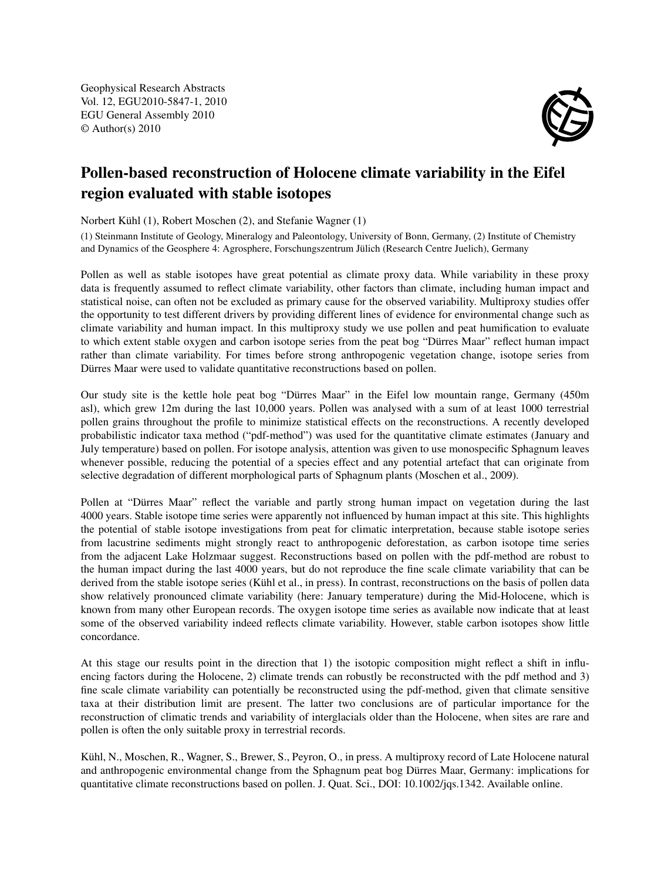Geophysical Research Abstracts Vol. 12, EGU2010-5847-1, 2010 EGU General Assembly 2010 © Author(s) 2010



## Pollen-based reconstruction of Holocene climate variability in the Eifel region evaluated with stable isotopes

Norbert Kühl (1), Robert Moschen (2), and Stefanie Wagner (1)

(1) Steinmann Institute of Geology, Mineralogy and Paleontology, University of Bonn, Germany, (2) Institute of Chemistry and Dynamics of the Geosphere 4: Agrosphere, Forschungszentrum Jülich (Research Centre Juelich), Germany

Pollen as well as stable isotopes have great potential as climate proxy data. While variability in these proxy data is frequently assumed to reflect climate variability, other factors than climate, including human impact and statistical noise, can often not be excluded as primary cause for the observed variability. Multiproxy studies offer the opportunity to test different drivers by providing different lines of evidence for environmental change such as climate variability and human impact. In this multiproxy study we use pollen and peat humification to evaluate to which extent stable oxygen and carbon isotope series from the peat bog "Dürres Maar" reflect human impact rather than climate variability. For times before strong anthropogenic vegetation change, isotope series from Dürres Maar were used to validate quantitative reconstructions based on pollen.

Our study site is the kettle hole peat bog "Dürres Maar" in the Eifel low mountain range, Germany (450m asl), which grew 12m during the last 10,000 years. Pollen was analysed with a sum of at least 1000 terrestrial pollen grains throughout the profile to minimize statistical effects on the reconstructions. A recently developed probabilistic indicator taxa method ("pdf-method") was used for the quantitative climate estimates (January and July temperature) based on pollen. For isotope analysis, attention was given to use monospecific Sphagnum leaves whenever possible, reducing the potential of a species effect and any potential artefact that can originate from selective degradation of different morphological parts of Sphagnum plants (Moschen et al., 2009).

Pollen at "Dürres Maar" reflect the variable and partly strong human impact on vegetation during the last 4000 years. Stable isotope time series were apparently not influenced by human impact at this site. This highlights the potential of stable isotope investigations from peat for climatic interpretation, because stable isotope series from lacustrine sediments might strongly react to anthropogenic deforestation, as carbon isotope time series from the adjacent Lake Holzmaar suggest. Reconstructions based on pollen with the pdf-method are robust to the human impact during the last 4000 years, but do not reproduce the fine scale climate variability that can be derived from the stable isotope series (Kühl et al., in press). In contrast, reconstructions on the basis of pollen data show relatively pronounced climate variability (here: January temperature) during the Mid-Holocene, which is known from many other European records. The oxygen isotope time series as available now indicate that at least some of the observed variability indeed reflects climate variability. However, stable carbon isotopes show little concordance.

At this stage our results point in the direction that 1) the isotopic composition might reflect a shift in influencing factors during the Holocene, 2) climate trends can robustly be reconstructed with the pdf method and 3) fine scale climate variability can potentially be reconstructed using the pdf-method, given that climate sensitive taxa at their distribution limit are present. The latter two conclusions are of particular importance for the reconstruction of climatic trends and variability of interglacials older than the Holocene, when sites are rare and pollen is often the only suitable proxy in terrestrial records.

Kühl, N., Moschen, R., Wagner, S., Brewer, S., Peyron, O., in press. A multiproxy record of Late Holocene natural and anthropogenic environmental change from the Sphagnum peat bog Dürres Maar, Germany: implications for quantitative climate reconstructions based on pollen. J. Quat. Sci., DOI: 10.1002/jqs.1342. Available online.